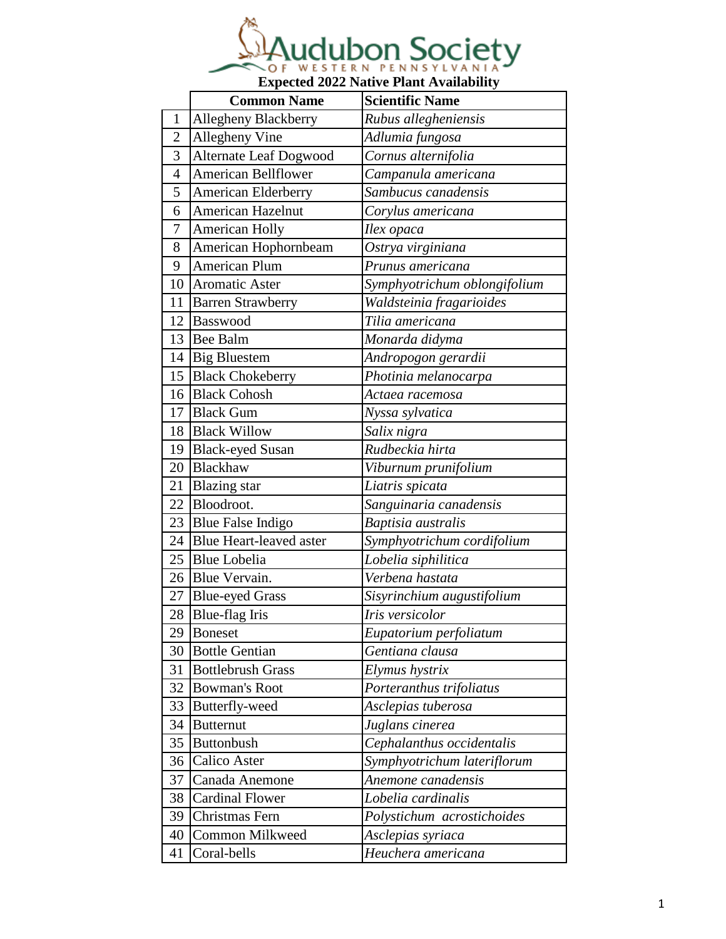

|                | <b>Common Name</b>             | <b>Scientific Name</b>           |
|----------------|--------------------------------|----------------------------------|
| $\mathbf{1}$   | Allegheny Blackberry           | Rubus allegheniensis             |
| $\overline{2}$ | Allegheny Vine                 | Adlumia fungosa                  |
| 3              | <b>Alternate Leaf Dogwood</b>  | Cornus alternifolia              |
| $\overline{4}$ | American Bellflower            | Campanula americana              |
| 5              | American Elderberry            | Sambucus canadensis              |
| 6              | <b>American Hazelnut</b>       | Corylus americana                |
| 7              | <b>American Holly</b>          | Ilex opaca                       |
| 8              | American Hophornbeam           | Ostrya virginiana                |
| 9              | <b>American Plum</b>           | Prunus americana                 |
| 10             | <b>Aromatic Aster</b>          | Symphyotrichum oblongifolium     |
| 11             | <b>Barren Strawberry</b>       | Waldsteinia fragarioides         |
| 12             | Basswood                       | Tilia americana                  |
| 13             | <b>Bee Balm</b>                | Monarda didyma                   |
|                | 14 Big Bluestem                | Andropogon gerardii              |
| 15             | <b>Black Chokeberry</b>        | Photinia melanocarpa             |
| 16             | <b>Black Cohosh</b>            | Actaea racemosa                  |
| 17             | <b>Black Gum</b>               | Nyssa sylvatica                  |
|                | 18 Black Willow                | Salix nigra                      |
| 19             | <b>Black-eyed Susan</b>        | Rudbeckia hirta                  |
| 20             | Blackhaw                       | Viburnum prunifolium             |
| 21             | <b>Blazing</b> star            | Liatris spicata                  |
| 22             | Bloodroot.                     | Sanguinaria canadensis           |
| 23             | <b>Blue False Indigo</b>       | $\overline{B}$ aptisia australis |
| 24             | <b>Blue Heart-leaved aster</b> | Symphyotrichum cordifolium       |
| 25             | <b>Blue Lobelia</b>            | Lobelia siphilitica              |
|                | 26 Blue Vervain.               | Verbena hastata                  |
| 27             | <b>Blue-eyed Grass</b>         | Sisyrinchium augustifolium       |
| 28             | Blue-flag Iris                 | Iris versicolor                  |
| 29             | <b>Boneset</b>                 | Eupatorium perfoliatum           |
| 30             | <b>Bottle Gentian</b>          | Gentiana clausa                  |
| 31             | <b>Bottlebrush Grass</b>       | Elymus hystrix                   |
| 32             | <b>Bowman's Root</b>           | Porteranthus trifoliatus         |
| 33             | Butterfly-weed                 | Asclepias tuberosa               |
| 34             | <b>Butternut</b>               | Juglans cinerea                  |
| 35             | <b>Buttonbush</b>              | Cephalanthus occidentalis        |
| 36             | Calico Aster                   | Symphyotrichum lateriflorum      |
| 37             | Canada Anemone                 | Anemone canadensis               |
| 38             | <b>Cardinal Flower</b>         | Lobelia cardinalis               |
| 39             | Christmas Fern                 | Polystichum acrostichoides       |
| 40             | <b>Common Milkweed</b>         | Asclepias syriaca                |
| 41             | Coral-bells                    | Heuchera americana               |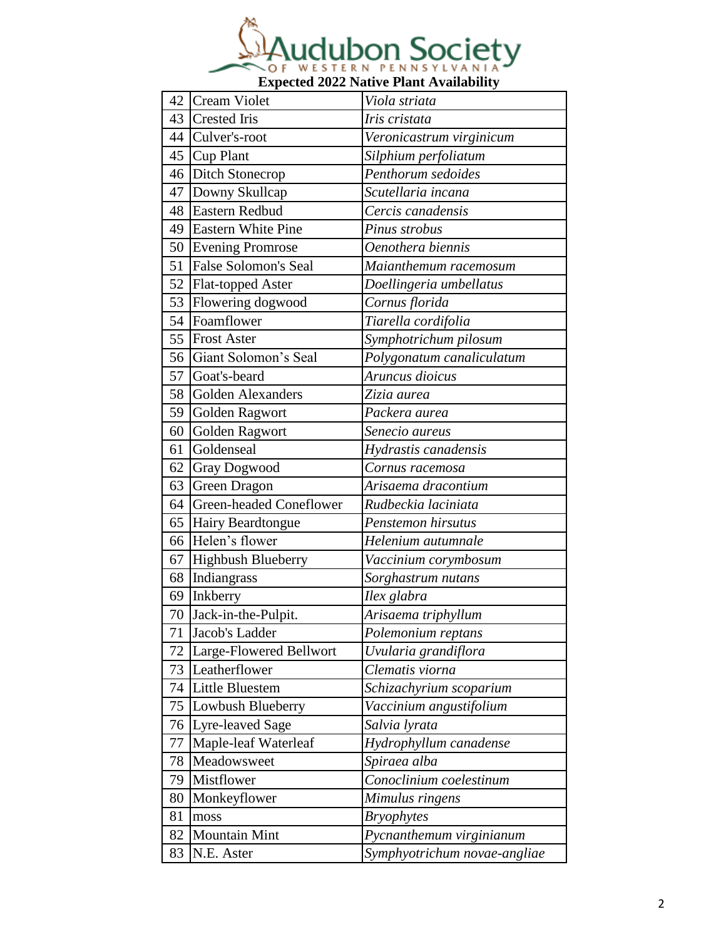

| 42 | Cream Violet                   | Viola striata             |
|----|--------------------------------|---------------------------|
| 43 | <b>Crested Iris</b>            | Iris cristata             |
|    | 44 Culver's-root               | Veronicastrum virginicum  |
| 45 | Cup Plant                      | Silphium perfoliatum      |
|    | 46 Ditch Stonecrop             | Penthorum sedoides        |
| 47 | Downy Skullcap                 | Scutellaria incana        |
| 48 | Eastern Redbud                 | Cercis canadensis         |
|    | 49 Eastern White Pine          | Pinus strobus             |
|    | 50 Evening Promrose            | Oenothera biennis         |
| 51 | False Solomon's Seal           | Maianthemum racemosum     |
|    | 52 Flat-topped Aster           | Doellingeria umbellatus   |
| 53 | Flowering dogwood              | Cornus florida            |
| 54 | Foamflower                     | Tiarella cordifolia       |
|    | 55 Frost Aster                 | Symphotrichum pilosum     |
| 56 | Giant Solomon's Seal           | Polygonatum canaliculatum |
| 57 | Goat's-beard                   | Aruncus dioicus           |
| 58 | <b>Golden Alexanders</b>       | Zizia aurea               |
| 59 | Golden Ragwort                 | Packera aurea             |
| 60 | Golden Ragwort                 | Senecio aureus            |
| 61 | Goldenseal                     | Hydrastis canadensis      |
| 62 | Gray Dogwood                   | Cornus racemosa           |
| 63 | <b>Green Dragon</b>            | Arisaema dracontium       |
| 64 | <b>Green-headed Coneflower</b> | Rudbeckia laciniata       |
|    |                                |                           |
| 65 | <b>Hairy Beardtongue</b>       | Penstemon hirsutus        |
| 66 | Helen's flower                 | Helenium autumnale        |
| 67 | Highbush Blueberry             | Vaccinium corymbosum      |
| 68 | Indiangrass                    | Sorghastrum nutans        |
| 69 | Inkberry                       | Ilex glabra               |
|    | 70 Jack-in-the-Pulpit.         | Arisaema triphyllum       |
| 71 | Jacob's Ladder                 | Polemonium reptans        |
| 72 | Large-Flowered Bellwort        | Uvularia grandiflora      |
| 73 | Leatherflower                  | Clematis viorna           |
| 74 | Little Bluestem                | Schizachyrium scoparium   |
| 75 | Lowbush Blueberry              | Vaccinium angustifolium   |
| 76 | Lyre-leaved Sage               | Salvia lyrata             |
| 77 | Maple-leaf Waterleaf           | Hydrophyllum canadense    |
| 78 | Meadowsweet                    | Spiraea alba              |
| 79 | Mistflower                     | Conoclinium coelestinum   |
| 80 | Monkeyflower                   | Mimulus ringens           |
| 81 | moss                           | <b>Bryophytes</b>         |
| 82 | <b>Mountain Mint</b>           | Pycnanthemum virginianum  |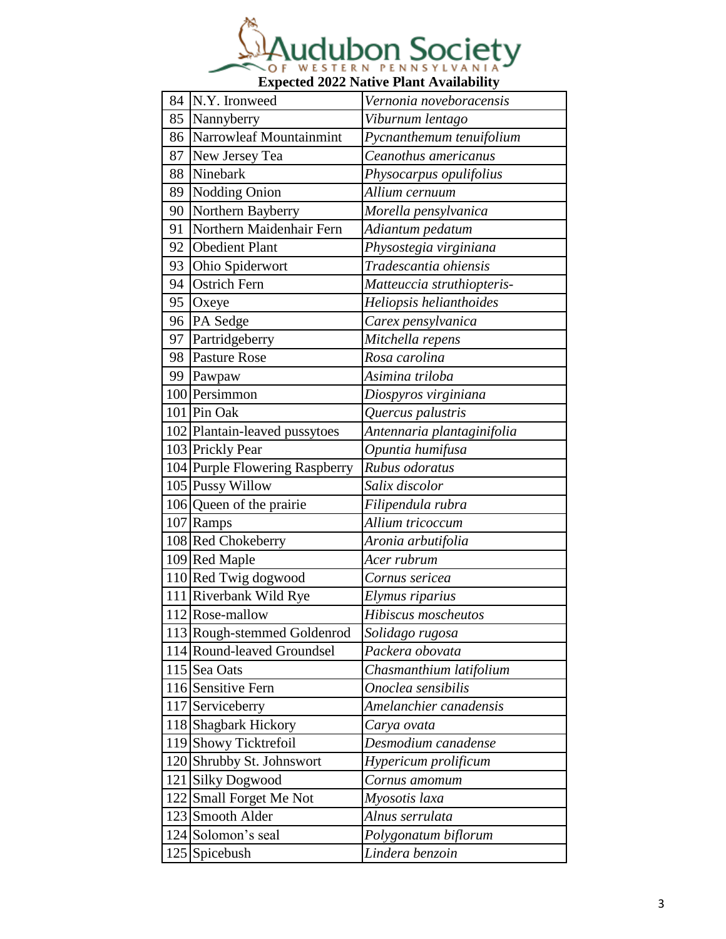

| 84 | N.Y. Ironweed                  | Vernonia noveboracensis    |
|----|--------------------------------|----------------------------|
| 85 | Nannyberry                     | Viburnum lentago           |
| 86 | Narrowleaf Mountainmint        | Pycnanthemum tenuifolium   |
| 87 | New Jersey Tea                 | Ceanothus americanus       |
| 88 | Ninebark                       | Physocarpus opulifolius    |
| 89 | Nodding Onion                  | Allium cernuum             |
| 90 | Northern Bayberry              | Morella pensylvanica       |
| 91 | Northern Maidenhair Fern       | Adiantum pedatum           |
| 92 | <b>Obedient Plant</b>          | Physostegia virginiana     |
| 93 | Ohio Spiderwort                | Tradescantia ohiensis      |
| 94 | <b>Ostrich Fern</b>            | Matteuccia struthiopteris- |
| 95 | Oxeye                          | Heliopsis helianthoides    |
| 96 | PA Sedge                       | Carex pensylvanica         |
| 97 | Partridgeberry                 | Mitchella repens           |
| 98 | <b>Pasture Rose</b>            | Rosa carolina              |
|    | 99 Pawpaw                      | Asimina triloba            |
|    | 100 Persimmon                  | Diospyros virginiana       |
|    | 101 Pin Oak                    | Quercus palustris          |
|    | 102 Plantain-leaved pussytoes  | Antennaria plantaginifolia |
|    | 103 Prickly Pear               | Opuntia humifusa           |
|    | 104 Purple Flowering Raspberry | Rubus odoratus             |
|    | 105 Pussy Willow               | Salix discolor             |
|    | 106 Queen of the prairie       | Filipendula rubra          |
|    | 107 Ramps                      | Allium tricoccum           |
|    | 108 Red Chokeberry             | Aronia arbutifolia         |
|    | 109 Red Maple                  | Acer rubrum                |
|    | 110 Red Twig dogwood           | Cornus sericea             |
|    | 111 Riverbank Wild Rye         | Elymus riparius            |
|    | 112 Rose-mallow                | Hibiscus moscheutos        |
|    | 113 Rough-stemmed Goldenrod    | Solidago rugosa            |
|    | 114 Round-leaved Groundsel     | Packera obovata            |
|    | 115 Sea Oats                   | Chasmanthium latifolium    |
|    | 116 Sensitive Fern             | Onoclea sensibilis         |
|    | 117 Serviceberry               | Amelanchier canadensis     |
|    | 118 Shagbark Hickory           | Carya ovata                |
|    | 119 Showy Ticktrefoil          | Desmodium canadense        |
|    | 120 Shrubby St. Johnswort      | Hypericum prolificum       |
|    | 121 Silky Dogwood              | Cornus amomum              |
|    | 122 Small Forget Me Not        | Myosotis laxa              |
|    | 123 Smooth Alder               | Alnus serrulata            |
|    | 124 Solomon's seal             | Polygonatum biflorum       |
|    | 125 Spicebush                  | Lindera benzoin            |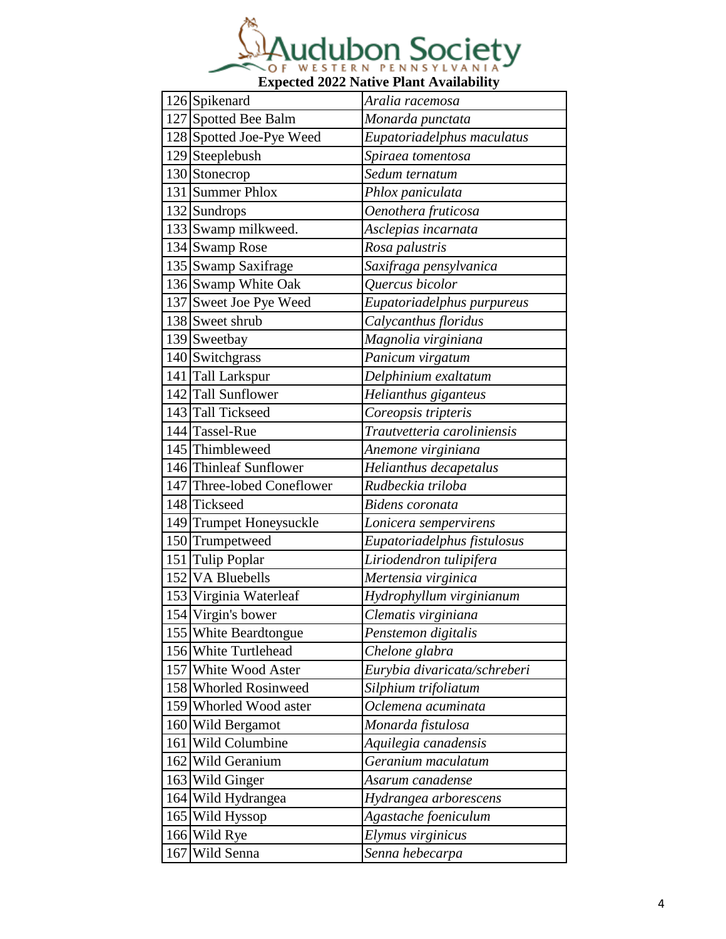

|     | 126 Spikenard              | Aralia racemosa              |
|-----|----------------------------|------------------------------|
|     | 127 Spotted Bee Balm       | Monarda punctata             |
|     | 128 Spotted Joe-Pye Weed   | Eupatoriadelphus maculatus   |
|     | 129 Steeplebush            | Spiraea tomentosa            |
|     | 130 Stonecrop              | Sedum ternatum               |
|     | 131 Summer Phlox           | Phlox paniculata             |
|     | 132 Sundrops               | Oenothera fruticosa          |
|     | 133 Swamp milkweed.        | Asclepias incarnata          |
|     | 134 Swamp Rose             | Rosa palustris               |
|     | 135 Swamp Saxifrage        | Saxifraga pensylvanica       |
|     | 136 Swamp White Oak        | Quercus bicolor              |
|     | 137 Sweet Joe Pye Weed     | Eupatoriadelphus purpureus   |
|     | 138 Sweet shrub            | Calycanthus floridus         |
|     | 139 Sweetbay               | Magnolia virginiana          |
|     | 140 Switchgrass            | Panicum virgatum             |
|     | 141 Tall Larkspur          | Delphinium exaltatum         |
|     | 142 Tall Sunflower         | Helianthus giganteus         |
|     | 143 Tall Tickseed          | Coreopsis tripteris          |
|     | 144 Tassel-Rue             | Trautvetteria caroliniensis  |
|     | 145 Thimbleweed            | Anemone virginiana           |
|     | 146 Thinleaf Sunflower     | Helianthus decapetalus       |
|     | 147 Three-lobed Coneflower | Rudbeckia triloba            |
|     | 148 Tickseed               | Bidens coronata              |
|     | 149 Trumpet Honeysuckle    | Lonicera sempervirens        |
|     | 150 Trumpetweed            | Eupatoriadelphus fistulosus  |
|     | 151 Tulip Poplar           | Liriodendron tulipifera      |
|     | 152 VA Bluebells           | Mertensia virginica          |
|     | 153 Virginia Waterleaf     | Hydrophyllum virginianum     |
|     | 154 Virgin's bower         | Clematis virginiana          |
|     | 155 White Beardtongue      | Penstemon digitalis          |
|     | 156 White Turtlehead       | Chelone glabra               |
|     | 157 White Wood Aster       | Eurybia divaricata/schreberi |
|     | 158 Whorled Rosinweed      | Silphium trifoliatum         |
|     | 159 Whorled Wood aster     | Oclemena acuminata           |
|     | 160 Wild Bergamot          | Monarda fistulosa            |
|     | 161 Wild Columbine         | Aquilegia canadensis         |
|     | 162 Wild Geranium          | Geranium maculatum           |
|     | 163 Wild Ginger            | Asarum canadense             |
|     | 164 Wild Hydrangea         | Hydrangea arborescens        |
|     | 165 Wild Hyssop            | Agastache foeniculum         |
|     | 166 Wild Rye               | Elymus virginicus            |
| 167 | Wild Senna                 | Senna hebecarpa              |